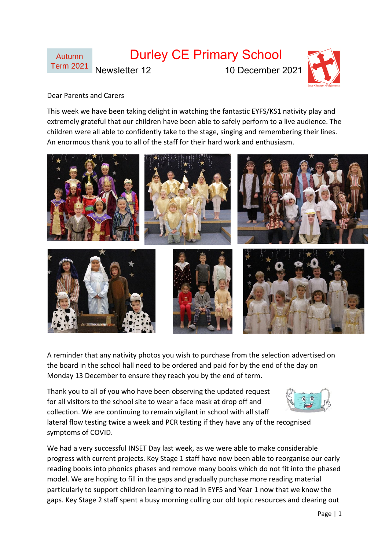

#### Dear Parents and Carers

This week we have been taking delight in watching the fantastic EYFS/KS1 nativity play and extremely grateful that our children have been able to safely perform to a live audience. The children were all able to confidently take to the stage, singing and remembering their lines. An enormous thank you to all of the staff for their hard work and enthusiasm.



A reminder that any nativity photos you wish to purchase from the selection advertised on the board in the school hall need to be ordered and paid for by the end of the day on Monday 13 December to ensure they reach you by the end of term.

Thank you to all of you who have been observing the updated request for all visitors to the school site to wear a face mask at drop off and collection. We are continuing to remain vigilant in school with all staff



lateral flow testing twice a week and PCR testing if they have any of the recognised symptoms of COVID.

We had a very successful INSET Day last week, as we were able to make considerable progress with current projects. Key Stage 1 staff have now been able to reorganise our early reading books into phonics phases and remove many books which do not fit into the phased model. We are hoping to fill in the gaps and gradually purchase more reading material particularly to support children learning to read in EYFS and Year 1 now that we know the gaps. Key Stage 2 staff spent a busy morning culling our old topic resources and clearing out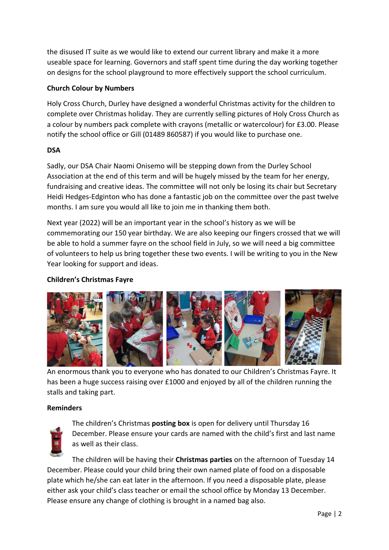the disused IT suite as we would like to extend our current library and make it a more useable space for learning. Governors and staff spent time during the day working together on designs for the school playground to more effectively support the school curriculum.

## **Church Colour by Numbers**

Holy Cross Church, Durley have designed a wonderful Christmas activity for the children to complete over Christmas holiday. They are currently selling pictures of Holy Cross Church as a colour by numbers pack complete with crayons (metallic or watercolour) for £3.00. Please notify the school office or Gill (01489 860587) if you would like to purchase one.

## **DSA**

Sadly, our DSA Chair Naomi Onisemo will be stepping down from the Durley School Association at the end of this term and will be hugely missed by the team for her energy, fundraising and creative ideas. The committee will not only be losing its chair but Secretary Heidi Hedges-Edginton who has done a fantastic job on the committee over the past twelve months. I am sure you would all like to join me in thanking them both.

Next year (2022) will be an important year in the school's history as we will be commemorating our 150 year birthday. We are also keeping our fingers crossed that we will be able to hold a summer fayre on the school field in July, so we will need a big committee of volunteers to help us bring together these two events. I will be writing to you in the New Year looking for support and ideas.

# **Children's Christmas Fayre**



An enormous thank you to everyone who has donated to our Children's Christmas Fayre. It has been a huge success raising over £1000 and enjoyed by all of the children running the stalls and taking part.

### **Reminders**



The children's Christmas **posting box** is open for delivery until Thursday 16 December. Please ensure your cards are named with the child's first and last name as well as their class.

The children will be having their **Christmas parties** on the afternoon of Tuesday 14 December. Please could your child bring their own named plate of food on a disposable plate which he/she can eat later in the afternoon. If you need a disposable plate, please either ask your child's class teacher or email the school office by Monday 13 December. Please ensure any change of clothing is brought in a named bag also.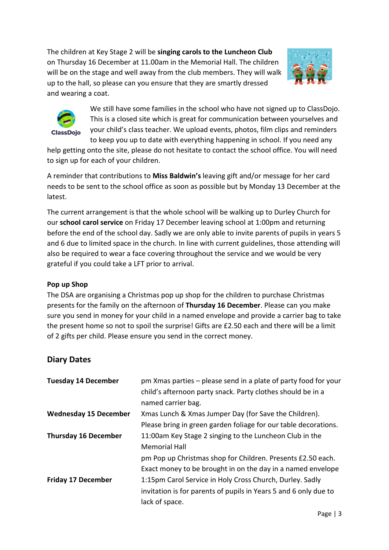The children at Key Stage 2 will be **singing carols to the Luncheon Club** on Thursday 16 December at 11.00am in the Memorial Hall. The children will be on the stage and well away from the club members. They will walk up to the hall, so please can you ensure that they are smartly dressed and wearing a coat.





We still have some families in the school who have not signed up to ClassDojo. This is a closed site which is great for communication between yourselves and your child's class teacher. We upload events, photos, film clips and reminders to keep you up to date with everything happening in school. If you need any

help getting onto the site, please do not hesitate to contact the school office. You will need to sign up for each of your children.

A reminder that contributions to **Miss Baldwin's** leaving gift and/or message for her card needs to be sent to the school office as soon as possible but by Monday 13 December at the latest.

The current arrangement is that the whole school will be walking up to Durley Church for our **school carol service** on Friday 17 December leaving school at 1:00pm and returning before the end of the school day. Sadly we are only able to invite parents of pupils in years 5 and 6 due to limited space in the church. In line with current guidelines, those attending will also be required to wear a face covering throughout the service and we would be very grateful if you could take a LFT prior to arrival.

### **Pop up Shop**

The DSA are organising a Christmas pop up shop for the children to purchase Christmas presents for the family on the afternoon of **Thursday 16 December**. Please can you make sure you send in money for your child in a named envelope and provide a carrier bag to take the present home so not to spoil the surprise! Gifts are £2.50 each and there will be a limit of 2 gifts per child. Please ensure you send in the correct money.

# **Diary Dates**

| <b>Tuesday 14 December</b>   | pm Xmas parties – please send in a plate of party food for your  |
|------------------------------|------------------------------------------------------------------|
|                              | child's afternoon party snack. Party clothes should be in a      |
|                              | named carrier bag.                                               |
| <b>Wednesday 15 December</b> | Xmas Lunch & Xmas Jumper Day (for Save the Children).            |
|                              | Please bring in green garden foliage for our table decorations.  |
| <b>Thursday 16 December</b>  | 11:00am Key Stage 2 singing to the Luncheon Club in the          |
|                              | <b>Memorial Hall</b>                                             |
|                              | pm Pop up Christmas shop for Children. Presents £2.50 each.      |
|                              | Exact money to be brought in on the day in a named envelope      |
| <b>Friday 17 December</b>    | 1:15pm Carol Service in Holy Cross Church, Durley. Sadly         |
|                              | invitation is for parents of pupils in Years 5 and 6 only due to |
|                              | lack of space.                                                   |